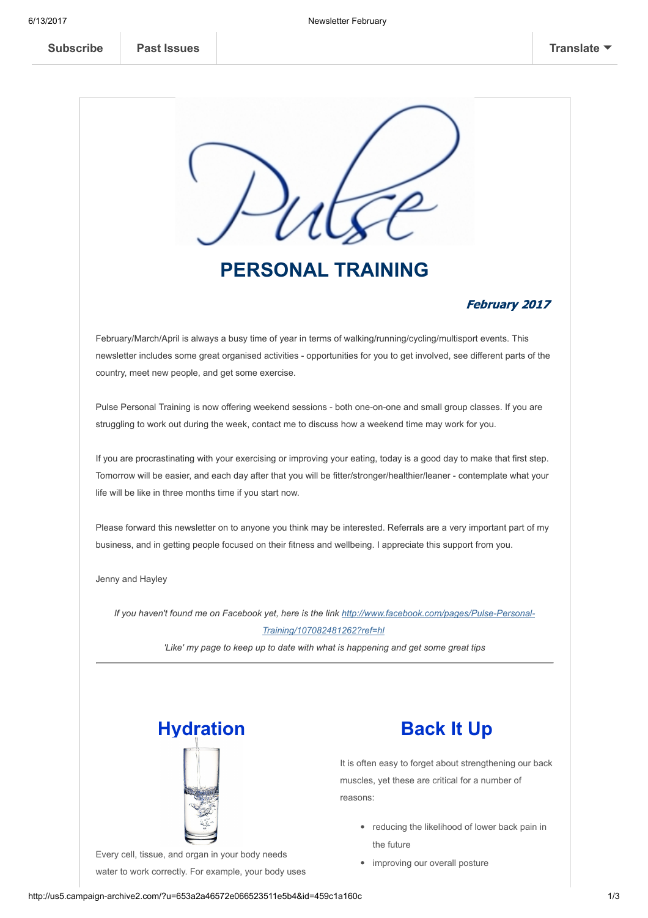

# PERSONAL TRAINING

### February 2017

February/March/April is always a busy time of year in terms of walking/running/cycling/multisport events. This newsletter includes some great organised activities - opportunities for you to get involved, see different parts of the country, meet new people, and get some exercise.

Pulse Personal Training is now offering weekend sessions - both one-on-one and small group classes. If you are struggling to work out during the week, contact me to discuss how a weekend time may work for you.

If you are procrastinating with your exercising or improving your eating, today is a good day to make that first step. Tomorrow will be easier, and each day after that you will be fitter/stronger/healthier/leaner contemplate what your life will be like in three months time if you start now.

Please forward this newsletter on to anyone you think may be interested. Referrals are a very important part of my business, and in getting people focused on their fitness and wellbeing. I appreciate this support from you.

Jenny and Hayley

If you haven't found me on Facebook yet, here is the link http://www.facebook.com/pages/Pulse-Personal-Training/107082481262?ref=hl 'Like' my page to keep up to date with what is happening and get some great tips



Every cell, tissue, and organ in your body needs water to work correctly. For example, your body uses



It is often easy to forget about strengthening our back muscles, yet these are critical for a number of reasons:

- reducing the likelihood of lower back pain in the future
- improving our overall posture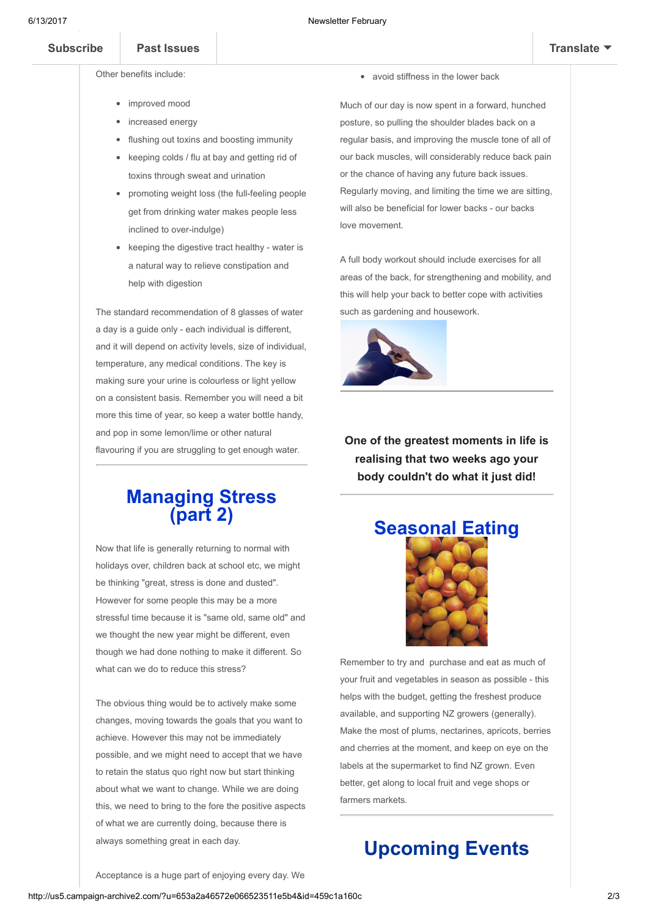and lubricate joints. Water is needed for good health.

Other benefits include:

- improved mood increased energy
- flushing out toxins and boosting immunity

water to maintain its temperature, remove waste,

- keeping colds / flu at bay and getting rid of toxins through sweat and urination
- promoting weight loss (the full-feeling people get from drinking water makes people less inclined to over-indulge)
- $\bullet$  keeping the digestive tract healthy water is a natural way to relieve constipation and help with digestion

The standard recommendation of 8 glasses of water a day is a quide only - each individual is different, and it will depend on activity levels, size of individual, temperature, any medical conditions. The key is making sure your urine is colourless or light yellow on a consistent basis. Remember you will need a bit more this time of year, so keep a water bottle handy, and pop in some lemon/lime or other natural flavouring if you are struggling to get enough water.

## Managing Stress (part 2)

Now that life is generally returning to normal with holidays over, children back at school etc, we might be thinking "great, stress is done and dusted". However for some people this may be a more stressful time because it is "same old, same old" and we thought the new year might be different, even though we had done nothing to make it different. So what can we do to reduce this stress?

The obvious thing would be to actively make some changes, moving towards the goals that you want to achieve. However this may not be immediately possible, and we might need to accept that we have to retain the status quo right now but start thinking about what we want to change. While we are doing this, we need to bring to the fore the positive aspects of what we are currently doing, because there is always something great in each day.

avoid stiffness in the lower back

allowing nutrients to get into the disc space

Much of our day is now spent in a forward, hunched posture, so pulling the shoulder blades back on a regular basis, and improving the muscle tone of all of our back muscles, will considerably reduce back pain or the chance of having any future back issues. Regularly moving, and limiting the time we are sitting, will also be beneficial for lower backs - our backs love movement.

A full body workout should include exercises for all areas of the back, for strengthening and mobility, and this will help your back to better cope with activities such as gardening and housework.



One of the greatest moments in life is realising that two weeks ago your body couldn't do what it just did!



Remember to try and purchase and eat as much of your fruit and vegetables in season as possible - this helps with the budget, getting the freshest produce available, and supporting NZ growers (generally). Make the most of plums, nectarines, apricots, berries and cherries at the moment, and keep on eye on the labels at the supermarket to find NZ grown. Even better, get along to local fruit and vege shops or farmers markets.

## Upcoming Events

Acceptance is a huge part of enjoying every day. We